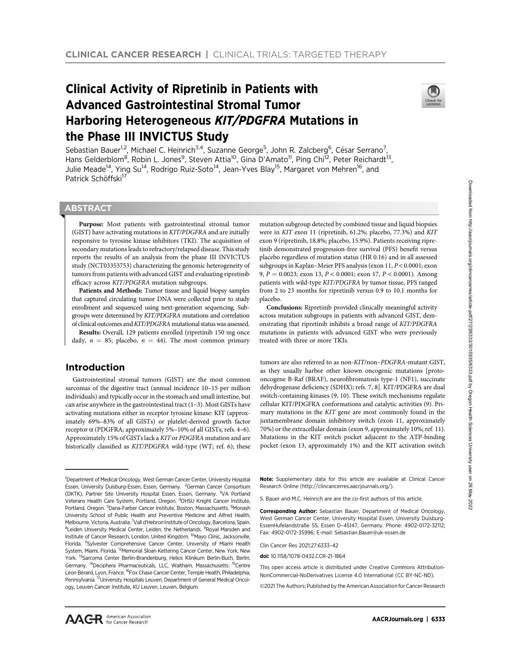# Clinical Activity of Ripretinib in Patients with Advanced Gastrointestinal Stromal Tumor Harboring Heterogeneous KIT/PDGFRA Mutations in the Phase III INVICTUS Study



Sebastian Bauer<sup>1,2</sup>, Michael C. Heinrich<sup>3,4</sup>, Suzanne George<sup>5</sup>, John R. Zalcberg<sup>6</sup>, César Serrano<sup>7</sup>, Hans Gelderblom<sup>8</sup>, Robin L. Jones<sup>9</sup>, Steven Attia<sup>10</sup>, Gina D'Amato<sup>11</sup>, Ping Chi<sup>12</sup>, Peter Reichardt<sup>13</sup>, Julie Meade<sup>14</sup>, Ying Su<sup>14</sup>, Rodrigo Ruiz-Soto<sup>14</sup>, Jean-Yves Blay<sup>15</sup>, Margaret von Mehren<sup>16</sup>, and Patrick Schöffski<sup>17</sup>

# **ABSTRACT**

◥

Purpose: Most patients with gastrointestinal stromal tumor (GIST) have activating mutations in KIT/PDGFRA and are initially responsive to tyrosine kinase inhibitors (TKI). The acquisition of secondary mutations leads to refractory/relapsed disease. This study reports the results of an analysis from the phase III INVICTUS study (NCT03353753) characterizing the genomic heterogeneity of tumors from patients with advanced GIST and evaluating ripretinib efficacy across KIT/PDGFRA mutation subgroups.

Patients and Methods: Tumor tissue and liquid biopsy samples that captured circulating tumor DNA were collected prior to study enrollment and sequenced using next-generation sequencing. Subgroups were determined by KIT/PDGFRA mutations and correlation of clinical outcomes andKIT/PDGFRA mutational status was assessed.

Results: Overall, 129 patients enrolled (ripretinib 150 mg once daily,  $n = 85$ ; placebo,  $n = 44$ ). The most common primary

# Introduction

Gastrointestinal stromal tumors (GIST) are the most common sarcomas of the digestive tract (annual incidence 10–15 per million individuals) and typically occur in the stomach and small intestine, but can arise anywhere in the gastrointestinal tract (1–3). Most GISTs have activating mutations either in receptor tyrosine kinase: KIT (approximately 69%–83% of all GISTs) or platelet-derived growth factor receptor  $\alpha$  (PDGFRA; approximately 5%–10% of all GISTs; refs. 4–6). Approximately 15% of GISTs lack a KIT or PDGFRA mutation and are historically classified as KIT/PDGFRA wild-type (WT; ref. 6); these

<sup>1</sup>Department of Medical Oncology, West German Cancer Center, University Hospital Essen, University Duisburg-Essen, Essen, Germany. <sup>2</sup>German Cancer Consortium (DKTK), Partner Site University Hospital Essen, Essen, Germany. <sup>3</sup>VA Portland Veterans Health Care System, Portland, Oregon. <sup>4</sup>OHSU Knight Cancer Institute, Portland, Oregon. <sup>5</sup>Dana-Farber Cancer Institute, Boston, Massachusetts. <sup>6</sup>Monash University School of Public Health and Preventive Medicine and Alfred Health, Melbourne, Victoria, Australia. <sup>7</sup>Vall d'Hebron Institute of Oncology, Barcelona, Spain. <sup>8</sup>Leiden University Medical Center, Leiden, the Netherlands. <sup>9</sup>Royal Marsden and Institute of Cancer Research, London, United Kingdom. <sup>10</sup>Mayo Clinic, Jacksonville, Florida. 11Sylvester Comprehensive Cancer Center, University of Miami Health System, Miami, Florida. <sup>12</sup>Memorial Sloan Kettering Cancer Center, New York, New York. <sup>13</sup>Sarcoma Center Berlin-Brandenburg, Helios Klinikum Berlin-Buch, Berlin, Germany. <sup>14</sup>Deciphera Pharmaceuticals, LLC, Waltham, Massachusetts. <sup>15</sup>Centre Léon Bérard, Lyon, France. <sup>16</sup>Fox Chase Cancer Center, Temple Health, Philadelphia, Pennsylvania. 17University Hospitals Leuven, Department of General Medical Oncology, Leuven Cancer Institute, KU Leuven, Leuven, Belgium.

mutation subgroup detected by combined tissue and liquid biopsies were in KIT exon 11 (ripretinib, 61.2%; placebo, 77.3%) and KIT exon 9 (ripretinib, 18.8%; placebo, 15.9%). Patients receiving ripretinib demonstrated progression-free survival (PFS) benefit versus placebo regardless of mutation status (HR 0.16) and in all assessed subgroups in Kaplan–Meier PFS analysis (exon 11, P < 0.0001; exon 9,  $P = 0.0023$ ; exon 13,  $P < 0.0001$ ; exon 17,  $P < 0.0001$ ). Among patients with wild-type KIT/PDGFRA by tumor tissue, PFS ranged from 2 to 23 months for ripretinib versus 0.9 to 10.1 months for placebo.

Conclusions: Ripretinib provided clinically meaningful activity across mutation subgroups in patients with advanced GIST, demonstrating that ripretinib inhibits a broad range of KIT/PDGFRA mutations in patients with advanced GIST who were previously treated with three or more TKIs.

tumors are also referred to as non-KIT/non–PDGFRA-mutant GIST, as they usually harbor other known oncogenic mutations [protooncogene B-Raf (BRAF), neurofibromatosis type-1 (NF1), succinate dehydrogenase deficiency (SDHX); refs. 7, 8]. KIT/PDGFRA are dual switch-containing kinases (9, 10). These switch mechanisms regulate cellular KIT/PDGFRA conformations and catalytic activities (9). Primary mutations in the KIT gene are most commonly found in the juxtamembrane domain inhibitory switch (exon 11, approximately 70%) or the extracellular domain (exon 9, approximately 10%; ref. 11). Mutations in the KIT switch pocket adjacent to the ATP-binding pocket (exon 13, approximately 1%) and the KIT activation switch

Note: Supplementary data for this article are available at Clinical Cancer Research Online (http://clincancerres.aacrjournals.org/).

S. Bauer and M.C. Heinrich are are the co-first authors of this article.

Corresponding Author: Sebastian Bauer, Department of Medical Oncology, West German Cancer Center, University Hospital Essen, University Duisburg-EssenHufelandstraße 55, Essen D–45147, Germany. Phone: 4902-0172-32112; Fax: 4902-0172-35996; E-mail: Sebastian.Bauer@uk-essen.de

Clin Cancer Res 2021;27:6333–42

doi: 10.1158/1078-0432.CCR-21-1864

This open access article is distributed under Creative Commons Attribution-NonCommercial-NoDerivatives License 4.0 International (CC BY-NC-ND).

©2021 The Authors; Published by the American Association for Cancer Research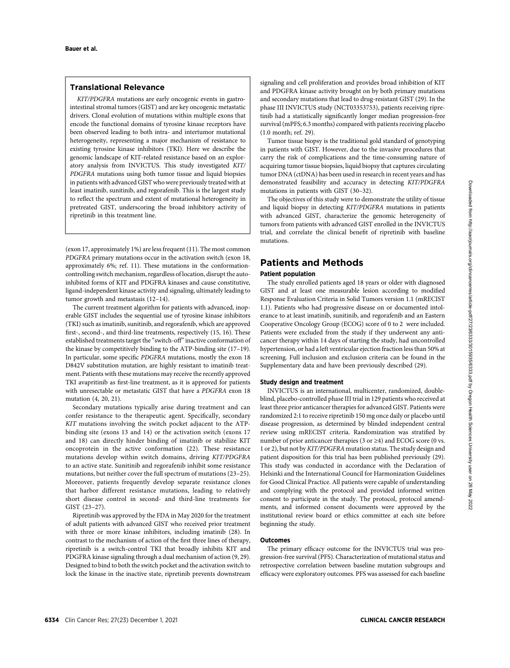# Translational Relevance

KIT/PDGFRA mutations are early oncogenic events in gastrointestinal stromal tumors (GIST) and are key oncogenic metastatic drivers. Clonal evolution of mutations within multiple exons that encode the functional domains of tyrosine kinase receptors have been observed leading to both intra- and intertumor mutational heterogeneity, representing a major mechanism of resistance to existing tyrosine kinase inhibitors (TKI). Here we describe the genomic landscape of KIT-related resistance based on an exploratory analysis from INVICTUS. This study investigated KIT/ PDGFRA mutations using both tumor tissue and liquid biopsies in patients with advanced GIST who were previously treated with at least imatinib, sunitinib, and regorafenib. This is the largest study to reflect the spectrum and extent of mutational heterogeneity in pretreated GIST, underscoring the broad inhibitory activity of ripretinib in this treatment line.

(exon 17, approximately 1%) are less frequent (11). The most common PDGFRA primary mutations occur in the activation switch (exon 18, approximately 6%; ref. 11). These mutations in the conformationcontrolling switch mechanism, regardless of location, disrupt the autoinhibited forms of KIT and PDGFRA kinases and cause constitutive, ligand-independent kinase activity and signaling, ultimately leading to tumor growth and metastasis (12–14).

The current treatment algorithm for patients with advanced, inoperable GIST includes the sequential use of tyrosine kinase inhibitors (TKI) such as imatinib, sunitinib, and regorafenib, which are approved first-, second-, and third-line treatments, respectively (15, 16). These established treatments target the "switch-off"inactive conformation of the kinase by competitively binding to the ATP-binding site (17–19). In particular, some specific PDGFRA mutations, mostly the exon 18 D842V substitution mutation, are highly resistant to imatinib treatment. Patients with these mutations may receive the recently approved TKI avapritinib as first-line treatment, as it is approved for patients with unresectable or metastatic GIST that have a PDGFRA exon 18 mutation (4, 20, 21).

Secondary mutations typically arise during treatment and can confer resistance to the therapeutic agent. Specifically, secondary KIT mutations involving the switch pocket adjacent to the ATPbinding site (exons 13 and 14) or the activation switch (exons 17 and 18) can directly hinder binding of imatinib or stabilize KIT oncoprotein in the active conformation (22). These resistance mutations develop within switch domains, driving KIT/PDGFRA to an active state. Sunitinib and regorafenib inhibit some resistance mutations, but neither cover the full spectrum of mutations (23–25). Moreover, patients frequently develop separate resistance clones that harbor different resistance mutations, leading to relatively short disease control in second- and third-line treatments for GIST (23–27).

Ripretinib was approved by the FDA in May 2020 for the treatment of adult patients with advanced GIST who received prior treatment with three or more kinase inhibitors, including imatinib (28). In contrast to the mechanism of action of the first three lines of therapy, ripretinib is a switch-control TKI that broadly inhibits KIT and PDGFRA kinase signaling through a dual mechanism of action (9, 29). Designed to bind to both the switch pocket and the activation switch to lock the kinase in the inactive state, ripretinib prevents downstream

signaling and cell proliferation and provides broad inhibition of KIT and PDGFRA kinase activity brought on by both primary mutations and secondary mutations that lead to drug-resistant GIST (29). In the phase III INVICTUS study (NCT03353753), patients receiving ripretinib had a statistically significantly longer median progression-free survival (mPFS; 6.3 months) compared with patients receiving placebo (1.0 month; ref. 29).

Tumor tissue biopsy is the traditional gold standard of genotyping in patients with GIST. However, due to the invasive procedures that carry the risk of complications and the time-consuming nature of acquiring tumor tissue biopsies, liquid biopsy that captures circulating tumor DNA (ctDNA) has been used in research in recent years and has demonstrated feasibility and accuracy in detecting KIT/PDGFRA mutations in patients with GIST (30–32).

The objectives of this study were to demonstrate the utility of tissue and liquid biopsy in detecting KIT/PDGFRA mutations in patients with advanced GIST, characterize the genomic heterogeneity of tumors from patients with advanced GIST enrolled in the INVICTUS trial, and correlate the clinical benefit of ripretinib with baseline mutations.

# Patients and Methods

## Patient population

The study enrolled patients aged 18 years or older with diagnosed GIST and at least one measurable lesion according to modified Response Evaluation Criteria in Solid Tumors version 1.1 (mRECIST 1.1). Patients who had progressive disease on or documented intolerance to at least imatinib, sunitinib, and regorafenib and an Eastern Cooperative Oncology Group (ECOG) score of 0 to 2 were included. Patients were excluded from the study if they underwent any anticancer therapy within 14 days of starting the study, had uncontrolled hypertension, or had a left ventricular ejection fraction less than 50% at screening. Full inclusion and exclusion criteria can be found in the Supplementary data and have been previously described (29).

#### Study design and treatment

INVICTUS is an international, multicenter, randomized, doubleblind, placebo-controlled phase III trial in 129 patients who received at least three prior anticancer therapies for advanced GIST. Patients were randomized 2:1 to receive ripretinib 150 mg once daily or placebo until disease progression, as determined by blinded independent central review using mRECIST criteria. Randomization was stratified by number of prior anticancer therapies (3 or  $\geq$ 4) and ECOG score (0 vs. 1 or 2), but not byKIT/PDGFRA mutation status. The study design and patient disposition for this trial has been published previously (29). This study was conducted in accordance with the Declaration of Helsinki and the International Council for Harmonization Guidelines for Good Clinical Practice. All patients were capable of understanding and complying with the protocol and provided informed written consent to participate in the study. The protocol, protocol amendments, and informed consent documents were approved by the institutional review board or ethics committee at each site before beginning the study.

#### Outcomes

The primary efficacy outcome for the INVICTUS trial was progression-free survival (PFS). Characterization of mutational status and retrospective correlation between baseline mutation subgroups and efficacy were exploratory outcomes. PFS was assessed for each baseline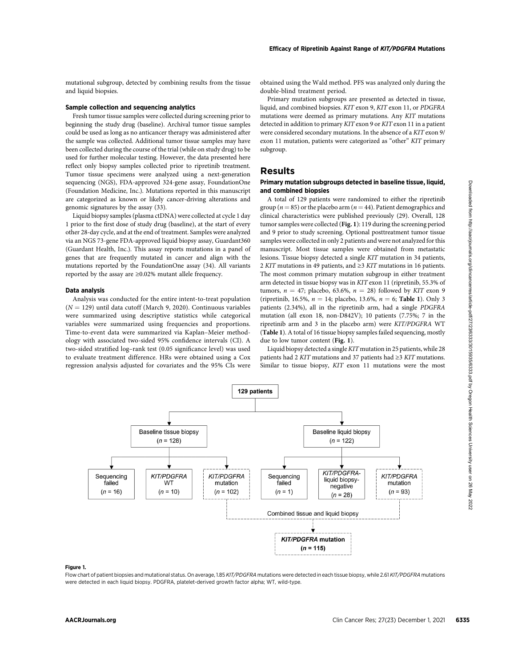mutational subgroup, detected by combining results from the tissue and liquid biopsies.

#### Sample collection and sequencing analytics

Fresh tumor tissue samples were collected during screening prior to beginning the study drug (baseline). Archival tumor tissue samples could be used as long as no anticancer therapy was administered after the sample was collected. Additional tumor tissue samples may have been collected during the course of the trial (while on study drug) to be used for further molecular testing. However, the data presented here reflect only biopsy samples collected prior to ripretinib treatment. Tumor tissue specimens were analyzed using a next-generation sequencing (NGS), FDA-approved 324-gene assay, FoundationOne (Foundation Medicine, Inc.). Mutations reported in this manuscript are categorized as known or likely cancer-driving alterations and genomic signatures by the assay (33).

Liquid biopsy samples (plasma ctDNA) were collected at cycle 1 day 1 prior to the first dose of study drug (baseline), at the start of every other 28-day cycle, and at the end of treatment. Samples were analyzed via an NGS 73-gene FDA-approved liquid biopsy assay, Guardant360 (Guardant Health, Inc.). This assay reports mutations in a panel of genes that are frequently mutated in cancer and align with the mutations reported by the FoundationOne assay (34). All variants reported by the assay are ≥0.02% mutant allele frequency.

#### Data analysis

Analysis was conducted for the entire intent-to-treat population  $(N = 129)$  until data cutoff (March 9, 2020). Continuous variables were summarized using descriptive statistics while categorical variables were summarized using frequencies and proportions. Time-to-event data were summarized via Kaplan–Meier methodology with associated two-sided 95% confidence intervals (CI). A two-sided stratified log–rank test (0.05 significance level) was used to evaluate treatment difference. HRs were obtained using a Cox regression analysis adjusted for covariates and the 95% CIs were obtained using the Wald method. PFS was analyzed only during the double-blind treatment period.

Primary mutation subgroups are presented as detected in tissue, liquid, and combined biopsies. KIT exon 9, KIT exon 11, or PDGFRA mutations were deemed as primary mutations. Any KIT mutations detected in addition to primary KIT exon 9 or KIT exon 11 in a patient were considered secondary mutations. In the absence of a KIT exon 9/ exon 11 mutation, patients were categorized as "other" KIT primary subgroup.

### Results

#### Primary mutation subgroups detected in baseline tissue, liquid, and combined biopsies

A total of 129 patients were randomized to either the ripretinib group ( $n = 85$ ) or the placebo arm ( $n = 44$ ). Patient demographics and clinical characteristics were published previously (29). Overall, 128 tumor samples were collected (Fig. 1): 119 during the screening period and 9 prior to study screening. Optional posttreatment tumor tissue samples were collected in only 2 patients and were not analyzed for this manuscript. Most tissue samples were obtained from metastatic lesions. Tissue biopsy detected a single KIT mutation in 34 patients, 2 KIT mutations in 49 patients, and ≥3 KIT mutations in 16 patients. The most common primary mutation subgroup in either treatment arm detected in tissue biopsy was in KIT exon 11 (ripretinib, 55.3% of tumors,  $n = 47$ ; placebo, 63.6%,  $n = 28$ ) followed by KIT exon 9 (ripretinib, 16.5%,  $n = 14$ ; placebo, 13.6%,  $n = 6$ ; Table 1). Only 3 patients (2.34%), all in the ripretinib arm, had a single PDGFRA mutation (all exon 18, non-D842V); 10 patients (7.75%; 7 in the ripretinib arm and 3 in the placebo arm) were KIT/PDGFRA WT (Table 1). A total of 16 tissue biopsy samples failed sequencing, mostly due to low tumor content (Fig. 1).

Liquid biopsy detected a single KIT mutation in 25 patients, while 28 patients had 2 KIT mutations and 37 patients had  $\geq$ 3 KIT mutations. Similar to tissue biopsy, KIT exon 11 mutations were the most

Approves the control of the state of the state of the state of the state of the state of the state of the state of the state of the state of the state of the state of the state of the state of the state of the state of th

#### Figure 1.

Flow chart of patient biopsies and mutational status. On average, 1.85 KIT/PDGFRA mutations were detected in each tissue biopsy, while 2.61 KIT/PDGFRA mutations were detected in each liquid biopsy. PDGFRA, platelet-derived growth factor alpha; WT, wild-type.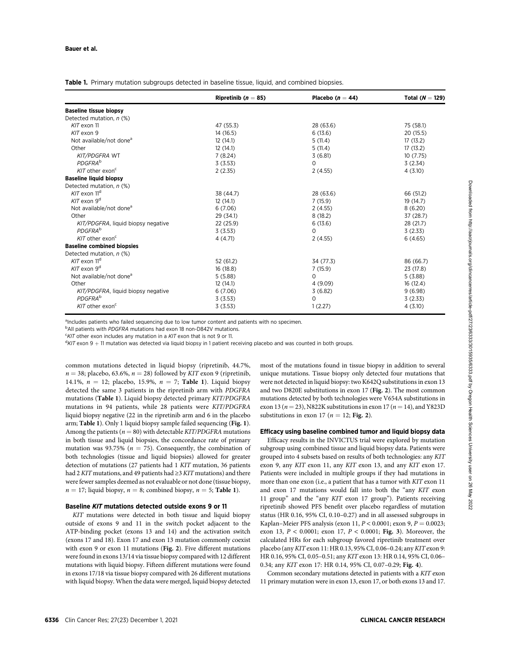Table 1. Primary mutation subgroups detected in baseline tissue, liquid, and combined biopsies.

|                                     | Ripretinib ( $n = 85$ ) | Placebo ( $n = 44$ ) | Total ( $N = 129$ ) |
|-------------------------------------|-------------------------|----------------------|---------------------|
| <b>Baseline tissue biopsy</b>       |                         |                      |                     |
| Detected mutation, n (%)            |                         |                      |                     |
| KIT exon 11                         | 47 (55.3)               | 28 (63.6)            | 75 (58.1)           |
| KIT exon 9                          | 14 (16.5)               | 6(13.6)              | 20 (15.5)           |
| Not available/not done <sup>a</sup> | 12(14.1)                | 5(11.4)              | 17(13.2)            |
| Other                               | 12(14.1)                | 5(11.4)              | 17(13.2)            |
| KIT/PDGFRA WT                       | 7(8.24)                 | 3(6.81)              | 10(7.75)            |
| <b>PDGFRA</b> b                     | 3(3.53)                 | 0                    | 3(2.34)             |
| $KIT$ other exon <sup>c</sup>       | 2(2.35)                 | 2(4.55)              | 4(3.10)             |
| <b>Baseline liquid biopsy</b>       |                         |                      |                     |
| Detected mutation, n (%)            |                         |                      |                     |
| $K/T$ exon 11 <sup>d</sup>          | 38 (44.7)               | 28 (63.6)            | 66 (51.2)           |
| $K/T$ exon $9^d$                    | 12(14.1)                | 7(15.9)              | 19 (14.7)           |
| Not available/not done <sup>a</sup> | 6(7.06)                 | 2(4.55)              | 8(6.20)             |
| Other                               | 29 (34.1)               | 8(18.2)              | 37 (28.7)           |
| KIT/PDGFRA, liquid biopsy negative  | 22(25.9)                | 6(13.6)              | 28 (21.7)           |
| <b>PDGFRA</b> b                     | 3(3.53)                 | $\Omega$             | 3(2.33)             |
| $K/T$ other exon <sup>c</sup>       | 4 (4.71)                | 2(4.55)              | 6(4.65)             |
| <b>Baseline combined biopsies</b>   |                         |                      |                     |
| Detected mutation, n (%)            |                         |                      |                     |
| $K/T$ exon $11d$                    | 52 (61.2)               | 34 (77.3)            | 86 (66.7)           |
| $K/T$ exon $9^d$                    | 16(18.8)                | 7(15.9)              | 23 (17.8)           |
| Not available/not done <sup>a</sup> | 5(5.88)                 | $\Omega$             | 5(3.88)             |
| Other                               | 12(14.1)                | 4(9.09)              | 16(12.4)            |
| KIT/PDGFRA, liquid biopsy negative  | 6(7.06)                 | 3(6.82)              | 9(6.98)             |
| <b>PDGFRA</b> b                     | 3(3.53)                 | $\Omega$             | 3(2.33)             |
| $K/T$ other exon <sup>c</sup>       | 3(3.53)                 | 1(2.27)              | 4(3.10)             |

<sup>a</sup>Includes patients who failed sequencing due to low tumor content and patients with no specimen.

<sup>b</sup>All patients with PDGFRA mutations had exon 18 non-D842V mutations.

 $c$ KIT other exon includes any mutation in a KIT exon that is not 9 or 11.

 $d$ KIT exon 9  $+$  11 mutation was detected via liquid biopsy in 1 patient receiving placebo and was counted in both groups.

common mutations detected in liquid biopsy (ripretinib, 44.7%,  $n = 38$ ; placebo, 63.6%,  $n = 28$ ) followed by KIT exon 9 (ripretinib, 14.1%,  $n = 12$ ; placebo, 15.9%,  $n = 7$ ; Table 1). Liquid biopsy detected the same 3 patients in the ripretinib arm with PDGFRA mutations (Table 1). Liquid biopsy detected primary KIT/PDGFRA mutations in 94 patients, while 28 patients were KIT/PDGFRA liquid biopsy negative (22 in the ripretinib arm and 6 in the placebo arm; Table 1). Only 1 liquid biopsy sample failed sequencing (Fig. 1). Among the patients ( $n = 80$ ) with detectable KIT/PDGFRA mutations in both tissue and liquid biopsies, the concordance rate of primary mutation was 93.75% ( $n = 75$ ). Consequently, the combination of both technologies (tissue and liquid biopsies) allowed for greater detection of mutations (27 patients had 1 KIT mutation, 36 patients had 2 KIT mutations, and 49 patients had  $\geq$ 3 KIT mutations) and there were fewer samples deemed as not evaluable or not done (tissue biopsy,  $n = 17$ ; liquid biopsy,  $n = 8$ ; combined biopsy,  $n = 5$ ; Table 1).

#### Baseline KIT mutations detected outside exons 9 or 11

KIT mutations were detected in both tissue and liquid biopsy outside of exons 9 and 11 in the switch pocket adjacent to the ATP-binding pocket (exons 13 and 14) and the activation switch (exons 17 and 18). Exon 17 and exon 13 mutation commonly coexist with exon 9 or exon 11 mutations (Fig. 2). Five different mutations were found in exons 13/14 via tissue biopsy compared with 12 different mutations with liquid biopsy. Fifteen different mutations were found in exons 17/18 via tissue biopsy compared with 26 different mutations with liquid biopsy. When the data were merged, liquid biopsy detected most of the mutations found in tissue biopsy in addition to several unique mutations. Tissue biopsy only detected four mutations that were not detected in liquid biopsy: two K642Q substitutions in exon 13 and two D820E substitutions in exon 17 (Fig. 2). The most common mutations detected by both technologies were V654A substitutions in exon 13 ( $n = 23$ ), N822K substitutions in exon 17 ( $n = 14$ ), and Y823D substitutions in exon 17 ( $n = 12$ ; Fig. 2).

#### Efficacy using baseline combined tumor and liquid biopsy data

Efficacy results in the INVICTUS trial were explored by mutation subgroup using combined tissue and liquid biopsy data. Patients were grouped into 4 subsets based on results of both technologies: any KIT exon 9, any KIT exon 11, any KIT exon 13, and any KIT exon 17. Patients were included in multiple groups if they had mutations in more than one exon (i.e., a patient that has a tumor with KIT exon 11 and exon 17 mutations would fall into both the "any KIT exon 11 group" and the "any KIT exon 17 group"). Patients receiving ripretinib showed PFS benefit over placebo regardless of mutation status (HR 0.16, 95% CI, 0.10–0.27) and in all assessed subgroups in Kaplan–Meier PFS analysis (exon 11,  $P < 0.0001$ ; exon 9,  $P = 0.0023$ ; exon 13,  $P < 0.0001$ ; exon 17,  $P < 0.0001$ ; Fig. 3). Moreover, the calculated HRs for each subgroup favored ripretinib treatment over placebo (any KIT exon 11: HR 0.13, 95% CI, 0.06–0.24; any KIT exon 9: HR 0.16, 95% CI, 0.05–0.51; any KIT exon 13: HR 0.14, 95% CI, 0.06– 0.34; any KIT exon 17: HR 0.14, 95% CI, 0.07–0.29; Fig. 4).

Common secondary mutations detected in patients with a KIT exon 11 primary mutation were in exon 13, exon 17, or both exons 13 and 17.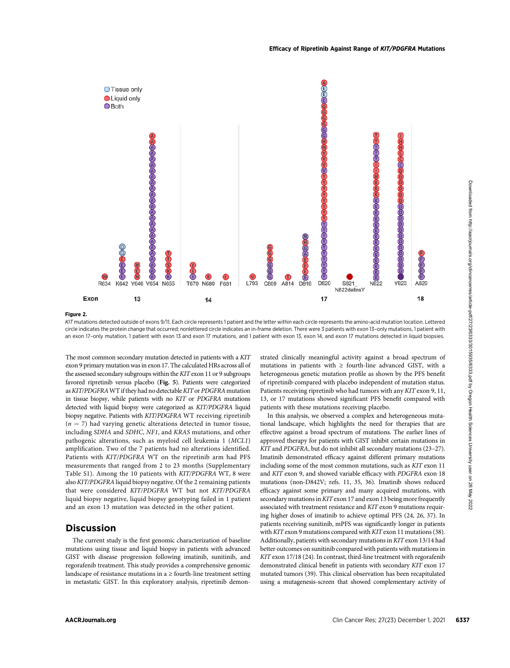

#### Figure 2.

KIT mutations detected outside of exons 9/11. Each circle represents 1 patient and the letter within each circle represents the amino-acid mutation location. Lettered circle indicates the protein change that occurred; nonlettered circle indicates an in-frame deletion. There were 3 patients with exon 13–only mutations, 1 patient with an exon 17-only mutation, 1 patient with exon 13 and exon 17 mutations, and 1 patient with exon 13, exon 14, and exon 17 mutations detected in liquid biopsies.

The most common secondary mutation detected in patients with a KIT exon 9 primary mutation was in exon 17. The calculated HRs across all of the assessed secondary subgroups within the KIT exon 11 or 9 subgroups favored ripretinib versus placebo (Fig. 5). Patients were categorized as KIT/PDGFRA WT if they had no detectable KIT or PDGFRA mutation in tissue biopsy, while patients with no KIT or PDGFRA mutations detected with liquid biopsy were categorized as KIT/PDGFRA liquid biopsy negative. Patients with KIT/PDGFRA WT receiving ripretinib  $(n = 7)$  had varying genetic alterations detected in tumor tissue, including SDHA and SDHC, NF1, and KRAS mutations, and other pathogenic alterations, such as myeloid cell leukemia 1 (MCL1) amplification. Two of the 7 patients had no alterations identified. Patients with KIT/PDGFRA WT on the ripretinib arm had PFS measurements that ranged from 2 to 23 months (Supplementary Table S1). Among the 10 patients with KIT/PDGFRA WT, 8 were also KIT/PDGFRAliquid biopsy negative. Of the 2 remaining patients that were considered KIT/PDGFRA WT but not KIT/PDGFRA liquid biopsy negative, liquid biopsy genotyping failed in 1 patient and an exon 13 mutation was detected in the other patient.

# **Discussion**

The current study is the first genomic characterization of baseline mutations using tissue and liquid biopsy in patients with advanced GIST with disease progression following imatinib, sunitinib, and regorafenib treatment. This study provides a comprehensive genomic landscape of resistance mutations in  $a \geq$  fourth-line treatment setting in metastatic GIST. In this exploratory analysis, ripretinib demonstrated clinically meaningful activity against a broad spectrum of mutations in patients with  $\geq$  fourth-line advanced GIST, with a heterogeneous genetic mutation profile as shown by the PFS benefit of ripretinib compared with placebo independent of mutation status. Patients receiving ripretinib who had tumors with any KIT exon 9, 11, 13, or 17 mutations showed significant PFS benefit compared with patients with these mutations receiving placebo.

In this analysis, we observed a complex and heterogeneous mutational landscape, which highlights the need for therapies that are effective against a broad spectrum of mutations. The earlier lines of approved therapy for patients with GIST inhibit certain mutations in KIT and PDGFRA, but do not inhibit all secondary mutations (23–27). Imatinib demonstrated efficacy against different primary mutations including some of the most common mutations, such as KIT exon 11 and KIT exon 9, and showed variable efficacy with PDGFRA exon 18 mutations (non-D842V; refs. 11, 35, 36). Imatinib shows reduced efficacy against some primary and many acquired mutations, with secondary mutations inKIT exon 17 and exon 13 being more frequently associated with treatment resistance and KIT exon 9 mutations requiring higher doses of imatinib to achieve optimal PFS (24, 26, 37). In patients receiving sunitinib, mPFS was significantly longer in patients with KIT exon 9 mutations compared with KIT exon 11 mutations (38). Additionally, patients with secondary mutations in KIT exon 13/14 had better outcomes on sunitinib compared with patients with mutations in KIT exon 17/18 (24). In contrast, third-line treatment with regorafenib demonstrated clinical benefit in patients with secondary KIT exon 17 mutated tumors (39). This clinical observation has been recapitulated using a mutagenesis-screen that showed complementary activity of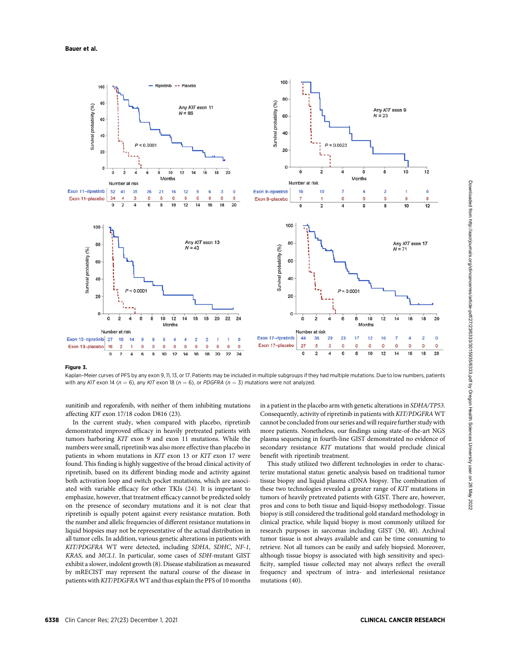

#### Figure 3.

Kaplan–Meier curves of PFS by any exon 9, 11, 13, or 17. Patients may be included in multiple subgroups if they had multiple mutations. Due to low numbers, patients with any KIT exon 14 ( $n = 6$ ), any KIT exon 18 ( $n = 6$ ), or PDGFRA ( $n = 3$ ) mutations were not analyzed.

sunitinib and regorafenib, with neither of them inhibiting mutations affecting KIT exon 17/18 codon D816 (23).

In the current study, when compared with placebo, ripretinib demonstrated improved efficacy in heavily pretreated patients with tumors harboring KIT exon 9 and exon 11 mutations. While the numbers were small, ripretinib was also more effective than placebo in patients in whom mutations in KIT exon 13 or KIT exon 17 were found. This finding is highly suggestive of the broad clinical activity of ripretinib, based on its different binding mode and activity against both activation loop and switch pocket mutations, which are associated with variable efficacy for other TKIs (24). It is important to emphasize, however, that treatment efficacy cannot be predicted solely on the presence of secondary mutations and it is not clear that ripretinib is equally potent against every resistance mutation. Both the number and allelic frequencies of different resistance mutations in liquid biopsies may not be representative of the actual distribution in all tumor cells. In addition, various genetic alterations in patients with KIT/PDGFRA WT were detected, including SDHA, SDHC, NF-1, KRAS, and MCL1. In particular, some cases of SDH-mutant GIST exhibit a slower, indolent growth (8). Disease stabilization as measured by mRECIST may represent the natural course of the disease in patients with KIT/PDGFRA WT and thus explain the PFS of 10 months

in a patient in the placebo arm with genetic alterations in SDHA/TP53. Consequently, activity of ripretinib in patients with KIT/PDGFRA WT cannot be concluded from our series and will require further study with more patients. Nonetheless, our findings using state-of-the-art NGS plasma sequencing in fourth-line GIST demonstrated no evidence of secondary resistance KIT mutations that would preclude clinical benefit with ripretinib treatment.

This study utilized two different technologies in order to characterize mutational status: genetic analysis based on traditional tumor tissue biopsy and liquid plasma ctDNA biopsy. The combination of these two technologies revealed a greater range of KIT mutations in tumors of heavily pretreated patients with GIST. There are, however, pros and cons to both tissue and liquid-biopsy methodology. Tissue biopsy is still considered the traditional gold standard methodology in clinical practice, while liquid biopsy is most commonly utilized for research purposes in sarcomas including GIST (30, 40). Archival tumor tissue is not always available and can be time consuming to retrieve. Not all tumors can be easily and safely biopsied. Moreover, although tissue biopsy is associated with high sensitivity and specificity, sampled tissue collected may not always reflect the overall frequency and spectrum of intra- and interlesional resistance mutations (40).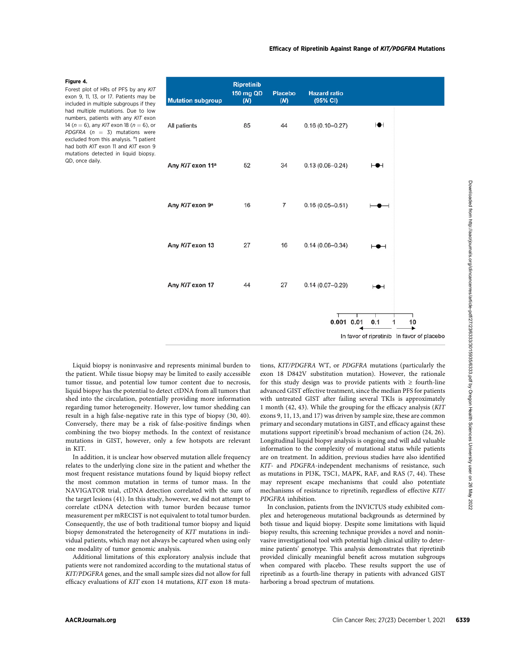#### Figure 4.

Forest plot of HRs of PFS by any KIT exon 9, 11, 13, or 17. Patients may be included in multiple subgroups if they had multiple mutations. Due to low numbers, patients with any KIT exon 14 ( $n = 6$ ), any KIT exon 18 ( $n = 6$ ), or PDGFRA ( $n = 3$ ) mutations were excluded from this analysis. <sup>a</sup>l patient had both KIT exon 11 and KIT exon 9 mutations detected in liquid biopsy. QD, once daily.



Liquid biopsy is noninvasive and represents minimal burden to the patient. While tissue biopsy may be limited to easily accessible tumor tissue, and potential low tumor content due to necrosis, liquid biopsy has the potential to detect ctDNA from all tumors that shed into the circulation, potentially providing more information regarding tumor heterogeneity. However, low tumor shedding can result in a high false-negative rate in this type of biopsy (30, 40). Conversely, there may be a risk of false-positive findings when combining the two biopsy methods. In the context of resistance mutations in GIST, however, only a few hotspots are relevant in KIT.

In addition, it is unclear how observed mutation allele frequency relates to the underlying clone size in the patient and whether the most frequent resistance mutations found by liquid biopsy reflect the most common mutation in terms of tumor mass. In the NAVIGATOR trial, ctDNA detection correlated with the sum of the target lesions (41). In this study, however, we did not attempt to correlate ctDNA detection with tumor burden because tumor measurement per mRECIST is not equivalent to total tumor burden. Consequently, the use of both traditional tumor biopsy and liquid biopsy demonstrated the heterogeneity of KIT mutations in individual patients, which may not always be captured when using only one modality of tumor genomic analysis.

Additional limitations of this exploratory analysis include that patients were not randomized according to the mutational status of KIT/PDGFRA genes, and the small sample sizes did not allow for full efficacy evaluations of KIT exon 14 mutations, KIT exon 18 mutations, KIT/PDGFRA WT, or PDGFRA mutations (particularly the exon 18 D842V substitution mutation). However, the rationale for this study design was to provide patients with  $\geq$  fourth-line advanced GIST effective treatment, since the median PFS for patients with untreated GIST after failing several TKIs is approximately 1 month (42, 43). While the grouping for the efficacy analysis (KIT exons 9, 11, 13, and 17) was driven by sample size, these are common primary and secondary mutations in GIST, and efficacy against these mutations support ripretinib's broad mechanism of action (24, 26). Longitudinal liquid biopsy analysis is ongoing and will add valuable information to the complexity of mutational status while patients are on treatment. In addition, previous studies have also identified KIT- and PDGFRA-independent mechanisms of resistance, such as mutations in PI3K, TSC1, MAPK, RAF, and RAS (7, 44). These may represent escape mechanisms that could also potentiate mechanisms of resistance to ripretinib, regardless of effective KIT/ PDGFRA inhibition.

In conclusion, patients from the INVICTUS study exhibited complex and heterogeneous mutational backgrounds as determined by both tissue and liquid biopsy. Despite some limitations with liquid biopsy results, this screening technique provides a novel and noninvasive investigational tool with potential high clinical utility to determine patients' genotype. This analysis demonstrates that ripretinib provided clinically meaningful benefit across mutation subgroups when compared with placebo. These results support the use of ripretinib as a fourth-line therapy in patients with advanced GIST harboring a broad spectrum of mutations.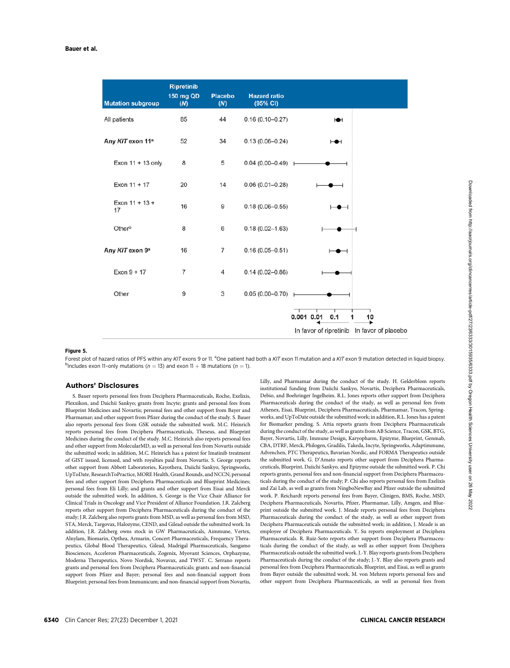| <b>Mutation subgroup</b>     | <b>Ripretinib</b><br>150 mg QD<br>(N) | <b>Placebo</b><br>(N) | <b>Hazard ratio</b><br>(95% CI) |                                            |
|------------------------------|---------------------------------------|-----------------------|---------------------------------|--------------------------------------------|
| All patients                 | 85                                    | 44                    | $0.16(0.10 - 0.27)$             | H                                          |
| Any KIT exon 11 <sup>a</sup> | 52                                    | 34                    | $0.13(0.06 - 0.24)$             | ⊢●⊣                                        |
| Exon 11 + 13 only            | 8                                     | 5                     | $0.04(0.00 - 0.49)$ H           |                                            |
| Exon 11 + 17                 | 20                                    | 14                    | $0.06(0.01 - 0.28)$             |                                            |
| Exon $11 + 13 +$<br>17       | 16                                    | 9                     | $0.18(0.06 - 0.55)$             |                                            |
| Otherb                       | 8                                     | 6                     | $0.18(0.02 - 1.63)$             |                                            |
| Any KIT exon 9a              | 16                                    | 7                     | $0.16(0.05 - 0.51)$             |                                            |
| $Exon 9 + 17$                | 7                                     | 4                     | $0.14(0.02 - 0.86)$             |                                            |
| Other                        | 9                                     | 3                     | $0.05(0.00 - 0.70)$             |                                            |
|                              |                                       |                       |                                 | $0.001$ $0.01$<br>0.1<br>10<br>1           |
|                              |                                       |                       |                                 | In favor of ripretinib In favor of placebo |

Forest plot of hazard ratios of PFS within any KIT exons 9 or 11. <sup>a</sup>One patient had both a KIT exon 11 mutation and a KIT exon 9 mutation detected in liquid biopsy.<br>Pipeludes exon 11-only mutations (n - 13) and exon 11. <sup>b</sup>Includes exon 11-only mutations ( $n = 13$ ) and exon 11  $\pm$  18 mutations ( $n = 1$ ).

#### Authors' Disclosures

S. Bauer reports personal fees from Deciphera Pharmaceuticals, Roche, Exelixis, Plexxikon, and Daichii Sankyo; grants from Incyte; grants and personal fees from Blueprint Medicines and Novartis; personal fees and other support from Bayer and Pharmamar; and other support from Pfizer during the conduct of the study. S. Bauer also reports personal fees from GSK outside the submitted work. M.C. Heinrich reports personal fees from Deciphera Pharmaceuticals, Theseus, and Blueprint Medicines during the conduct of the study. M.C. Heinrich also reports personal fees and other support from MolecularMD, as well as personal fees from Novartis outside the submitted work; in addition, M.C. Heinrich has a patent for Imatinib treatment of GIST issued, licensed, and with royalties paid from Novartis. S. George reports other support from Abbott Laboratories, Kayothera, Daiichi Sankyo, Springworks, UpToDate, ResearchToPractice, MORE Health, Grand Rounds, and NCCN; personal fees and other support from Deciphera Pharmaceuticals and Blueprint Medicines; personal fees from Eli Lilly; and grants and other support from Eisai and Merck outside the submitted work. In addition, S. George is the Vice Chair Alliance for Clinical Trials in Oncology and Vice President of Alliance Foundation. J.R. Zalcberg reports other support from Deciphera Pharmaceuticals during the conduct of the study; J.R. Zalcberg also reports grants from MSD, as well as personal fees from MSD, STA, Merck, Targovax, Halozyme, CEND, and Gilead outside the submitted work. In addition, J.R. Zalcberg owns stock in GW Pharmaceuticals, Aimmune, Vertex, Alnylam, Biomarin, Opthea, Armarin, Concert Pharmaceuticals, Frequency Therapeutics, Global Blood Therapeutics, Gilead, Madrigal Pharmaceuticals, Sangamo Biosciences, Acceleron Pharmaceuticals, Zogenix, Myovant Sciences, Orphazyme, Moderna Therapeutics, Novo Nordisk, Novavax, and TWST. C. Serrano reports grants and personal fees from Deciphera Pharmaceuticals; grants and non-financial support from Pfizer and Bayer; personal fees and non-financial support from Blueprint; personal fees from Immunicum; and non-financial support from Novartis, Lilly, and Pharmamar during the conduct of the study. H. Gelderblom reports institutional funding from Daiichi Sankyo, Novartis, Deciphera Pharmaceuticals, Debio, and Boehringer Ingelheim. R.L. Jones reports other support from Deciphera Pharmaceuticals during the conduct of the study, as well as personal fees from Athenex, Eisai, Blueprint, Deciphera Pharmaceuticals, Pharmamar, Tracon, Springworks, and UpToDate outside the submitted work; in addition, R.L. Jones has a patent for Biomarker pending. S. Attia reports grants from Deciphera Pharmaceuticals during the conduct of the study, as well as grants from AB Science, Tracon, GSK, BTG, Bayer, Novartis, Lilly, Immune Design, Karyopharm, Epizyme, Blueprint, Genmab, CBA, DTRF, Merck, Philogen, Gradilis, Takeda, Incyte, Springworks, Adaptimmune, Advenchen, PTC Therapeutics, Bavarian Nordic, and FORMA Therapeutics outside the submitted work. G. D'Amato reports other support from Deciphera Pharmaceuticals, Blueprint, Daiichi Sankyo, and Epizyme outside the submitted work. P. Chi reports grants, personal fees and non-financial support from Deciphera Pharmaceuticals during the conduct of the study; P. Chi also reports personal fees from Exelixis and Zai Lab, as well as grants from NingboNewBay and Pfizer outside the submitted work. P. Reichardt reports personal fees from Bayer, Clinigen, BMS, Roche, MSD, Deciphera Pharmaceuticals, Novartis, Pfizer, Pharmamar, Lilly, Amgen, and Blueprint outside the submitted work. J. Meade reports personal fees from Deciphera Pharmaceuticals during the conduct of the study, as well as other support from Deciphera Pharmaceuticals outside the submitted work; in addition, J. Meade is an employee of Deciphera Pharmaceuticals. Y. Su reports employment at Deciphera Pharmaceuticals. R. Ruiz-Soto reports other support from Deciphera Pharmaceuticals during the conduct of the study, as well as other support from Deciphera Pharmaceuticals outside the submitted work. J.-Y. Blay reports grants from Deciphera Pharmaceuticals during the conduct of the study; J.-Y. Blay also reports grants and personal fees from Deciphera Pharmaceuticals, Blueprint, and Eisai, as well as grants from Bayer outside the submitted work. M. von Mehren reports personal fees and other support from Deciphera Pharmaceuticals, as well as personal fees from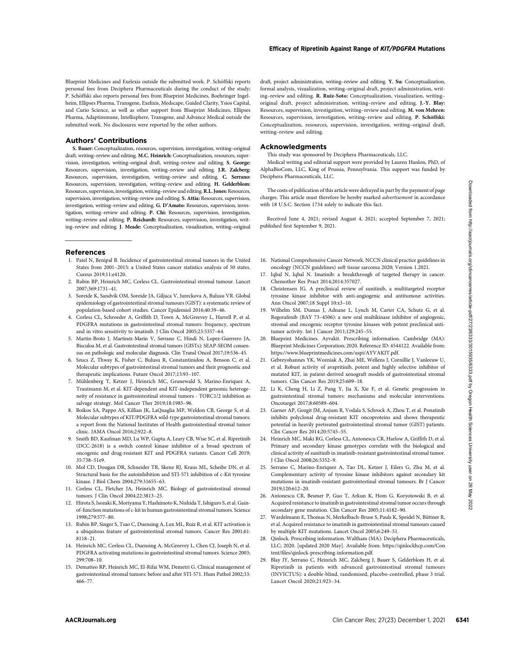Blueprint Medicines and Exelexis outside the submitted work. P. Schöffski reports personal fees from Deciphera Pharmaceuticals during the conduct of the study; P. Schöffski also reports personal fees from Blueprint Medicines, Boehringer Ingelheim, Ellipses Pharma, Transgene, Exelixis, Medscape, Guided Clarity, Ysios Capital, and Curio Science, as well as other support from Blueprint Medicines, Ellipses Pharma, Adaptimmune, Intellisphere, Transgene, and Advance Medical outside the submitted work. No disclosures were reported by the other authors.

## Authors' Contributions

S. Bauer: Conceptualization, resources, supervision, investigation, writing–original draft, writing–review and editing. M.C. Heinrich: Conceptualization, resources, supervision, investigation, writing–original draft, writing–review and editing. S. George: Resources, supervision, investigation, writing–review and editing. J.R. Zalcberg: Resources, supervision, investigation, writing–review and editing. C. Serrano: Resources, supervision, investigation, writing–review and editing. H. Gelderblom: Resources, supervision, investigation,writing–review and editing.R.L. Jones: Resources, supervision, investigation, writing–review and editing. S. Attia: Resources, supervision, investigation, writing–review and editing. G. D'Amato: Resources, supervision, investigation, writing–review and editing. P. Chi: Resources, supervision, investigation, writing–review and editing. P. Reichardt: Resources, supervision, investigation, writing–review and editing. J. Meade: Conceptualization, visualization, writing–original

### References

- 1. Patel N, Benipal B. Incidence of gastrointestinal stromal tumors in the United States from 2001–2015: a United States cancer statistics analysis of 50 states. Cureus 2019;11:e4120.
- 2. Rubin BP, Heinrich MC, Corless CL. Gastrointestinal stromal tumour. Lancet 2007;369:1731–41.
- 3. Soreide K, Sandvik OM, Soreide JA, Giljaca V, Jureckova A, Bulusu VR. Global epidemiology of gastrointestinal stromal tumours (GIST): a systematic review of population-based cohort studies. Cancer Epidemiol 2016;40:39–46.
- 4. Corless CL, Schroeder A, Griffith D, Town A, McGreevey L, Harrell P, et al. PDGFRA mutations in gastrointestinal stromal tumors: frequency, spectrum and in vitro sensitivity to imatinib. J Clin Oncol 2005;23:5357–64.
- 5. Martin-Broto J, Martinez-Marin V, Serrano C, Hindi N, Lopez-Guerrero JA, Bisculoa M, et al. Gastrointestinal stromal tumors (GISTs): SEAP-SEOM consensus on pathologic and molecular diagnosis. Clin Transl Oncol 2017;19:536–45.
- 6. Szucs Z, Thway K, Fisher C, Bulusu R, Constantinidou A, Benson C, et al. Molecular subtypes of gastrointestinal stromal tumors and their prognostic and therapeutic implications. Future Oncol 2017;13:93–107.
- 7. Mühlenberg T, Ketzer J, Heinrich MC, Grunewald S, Marino-Enriquez A, Trautmann M, et al. KIT-dependent and KIT-independent genomic heterogeneity of resistance in gastrointestinal stromal tumors - TORC1/2 inhibition as salvage strategy. Mol Cancer Ther 2019;18:1985–96.
- 8. Boikos SA, Pappo AS, Killian JK, LaQuaglia MP, Weldon CB, George S, et al. Molecular subtypes of KIT/PDGFRA wild-type gastrointestinal stromal tumors: a report from the National Institutes of Health gastrointestinal stromal tumor clinic. JAMA Oncol 2016;2:922–8.
- 9. Smith BD, Kaufman MD, Lu WP, Gupta A, Leary CB, Wise SC, et al. Ripretinib (DCC-2618) is a switch control kinase inhibitor of a broad spectrum of oncogenic and drug-resistant KIT and PDGFRA variants. Cancer Cell 2019; 35:738–51e9.
- 10. Mol CD, Dougan DR, Schneider TR, Skene RJ, Kraus ML, Scheibe DN, et al. Structural basis for the autoinhibition and STI-571 inhibition of c-Kit tyrosine kinase. J Biol Chem 2004;279:31655–63.
- 11. Corless CL, Fletcher JA, Heinrich MC. Biology of gastrointestinal stromal tumors. J Clin Oncol 2004;22:3813–25.
- 12. Hirota S, Isozaki K, Moriyama Y, Hashimoto K, Nishida T, Ishiguro S, et al. Gainof-function mutations of c-kit in human gastrointestinal stromal tumors. Science 1998;279:577–80.
- 13. Rubin BP, Singer S, Tsao C, Duensing A, Lux ML, Ruiz R, et al. KIT activation is a ubiquitous feature of gastrointestinal stromal tumors. Cancer Res 2001;61: 8118–21.
- 14. Heinrich MC, Corless CL, Duensing A, McGreevey L, Chen CJ, Joseph N, et al. PDGFRA activating mutations in gastrointestinal stromal tumors. Science 2003; 299:708–10.
- 15. Dematteo RP, Heinrich MC, El-Rifai WM, Demetri G. Clinical management of gastrointestinal stromal tumors: before and after STI-571. Hum Pathol 2002;33: 466–77.

draft, project administration, writing–review and editing. Y. Su: Conceptualization, formal analysis, visualization, writing–original draft, project administration, writing–review and editing. R. Ruiz-Soto: Conceptualization, visualization, writing– original draft, project administration, writing–review and editing. J.-Y. Blay: Resources, supervision, investigation, writing–review and editing. M. von Mehren: Resources, supervision, investigation, writing-review and editing. P. Schöffski: Conceptualization, resources, supervision, investigation, writing–original draft, writing–review and editing.

## Acknowledgments

This study was sponsored by Deciphera Pharmaceuticals, LLC.

Medical writing and editorial support were provided by Lauren Hanlon, PhD, of AlphaBioCom, LLC, King of Prussia, Pennsylvania. This support was funded by Deciphera Pharmaceuticals, LLC.

The costs of publication of this article were defrayed in part by the payment of page charges. This article must therefore be hereby marked advertisement in accordance with 18 U.S.C. Section 1734 solely to indicate this fact.

Received June 4, 2021; revised August 4, 2021; accepted September 7, 2021; published first September 9, 2021.

- 16. National Comprehensive Cancer Network. NCCN clinical practice guidelines in oncology (NCCN guidelines) soft tissue sarcoma 2020; Version 1.2021.
- 17. Iqbal N, Iqbal N. Imatinib: a breakthrough of targeted therapy in cancer. Chemother Res Pract 2014;2014:357027.
- 18. Christensen JG. A preclinical review of sunitinib, a multitargeted receptor tyrosine kinase inhibitor with anti-angiogenic and antitumour activities. Ann Oncol 2007;18 Suppl 10:x3–10.
- 19. Wilhelm SM, Dumas J, Adnane L, Lynch M, Carter CA, Schutz G, et al. Regorafenib (BAY 73–4506): a new oral multikinase inhibitor of angiogenic, stromal and oncogenic receptor tyrosine kinases with potent preclinical antitumor activity. Int J Cancer 2011;129:245–55.
- 20. Blueprint Medicines. Ayvakit. Prescribing information. Cambridge (MA): Blueprint Medicines Corporation; 2020. Reference ID: 4544122. Available from: <https://www.blueprintmedicines.com/uspi/AYVAKIT.pdf>.
- 21. Gebreyohannes YK, Wozniak A, Zhai ME, Wellens J, Cornillie J, Vanleeuw U, et al. Robust activity of avapritinib, potent and highly selective inhibitor of mutated KIT, in patient-derived xenograft models of gastrointestinal stromal tumors. Clin Cancer Res 2019;25:609–18.
- 22. Li K, Cheng H, Li Z, Pang Y, Jia X, Xie F, et al. Genetic progression in gastrointestinal stromal tumors: mechanisms and molecular interventions. Oncotarget 2017;8:60589–604.
- 23. Garner AP, Gozgit JM, Anjum R, Vodala S, Schrock A, Zhou T, et al. Ponatinib inhibits polyclonal drug-resistant KIT oncoproteins and shows therapeutic potential in heavily pretreated gastrointestinal stromal tumor (GIST) patients. Clin Cancer Res 2014;20:5745–55.
- 24. Heinrich MC, Maki RG, Corless CL, Antonescu CR, Harlow A, Griffith D, et al. Primary and secondary kinase genotypes correlate with the biological and clinical activity of sunitinib in imatinib-resistant gastrointestinal stromal tumor. J Clin Oncol 2008;26:5352–9.
- 25. Serrano C, Marino-Enriquez A, Tao DL, Ketzer J, Eilers G, Zhu M, et al. Complementary activity of tyrosine kinase inhibitors against secondary kit mutations in imatinib-resistant gastrointestinal stromal tumours. Br J Cancer 2019;120:612–20.
- 26. Antonescu CR, Besmer P, Guo T, Arkun K, Hom G, Koryotowski B, et al. Acquired resistance to imatinib in gastrointestinal stromal tumor occurs through secondary gene mutation. Clin Cancer Res 2005;11:4182–90.
- 27. Wardelmann E, Thomas N, Merkelbach-Bruse S, Pauls K, Speidel N, Büttner R, et al. Acquired resistance to imatinib in gastrointestinal stromal tumours caused by multiple KIT mutations. Lancet Oncol 2005;6:249–51.
- Qinlock. Prescribing information. Waltham (MA): Deciphera Pharmaceuticals, LLC; 2020. [updated 2020 May]. Available from: [https://qinlockhcp.com/Con](https://qinlockhcp.com/Content/files/qinlock-prescribing-information.pdf) tent/fi[les/qinlock-prescribing-information.pdf.](https://qinlockhcp.com/Content/files/qinlock-prescribing-information.pdf)
- 29. Blay JY, Serrano C, Heinrich MC, Zalcberg J, Bauer S, Gelderblom H, et al. Ripretinib in patients with advanced gastrointestinal stromal tumours (INVICTUS): a double-blind, randomised, placebo-controlled, phase 3 trial. Lancet Oncol 2020;21:923–34.